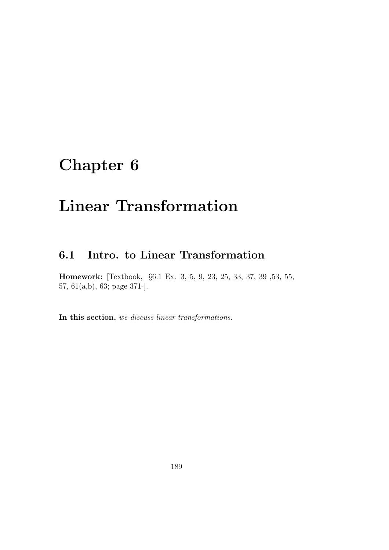# Chapter 6

# Linear Transformation

## 6.1 Intro. to Linear Transformation

Homework: [Textbook, §6.1 Ex. 3, 5, 9, 23, 25, 33, 37, 39 ,53, 55, 57, 61(a,b), 63; page 371-].

In this section, we discuss linear transformations.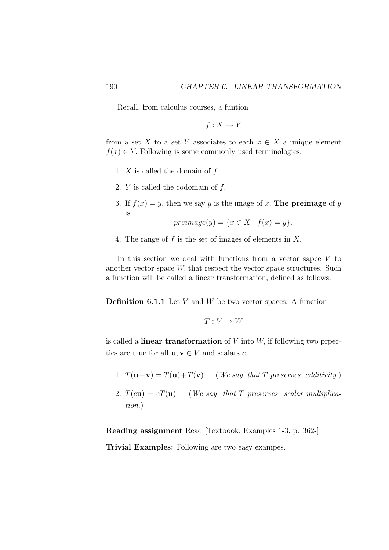Recall, from calculus courses, a funtion

$$
f:X\to Y
$$

from a set X to a set Y associates to each  $x \in X$  a unique element  $f(x) \in Y$ . Following is some commonly used terminologies:

- 1.  $X$  is called the domain of  $f$ .
- 2. Y is called the codomain of f.
- 3. If  $f(x) = y$ , then we say y is the image of x. The preimage of y is

$$
preimage(y) = \{x \in X : f(x) = y\}.
$$

4. The range of f is the set of images of elements in X.

In this section we deal with functions from a vector sapce  $V$  to another vector space  $W$ , that respect the vector space structures. Such a function will be called a linear transformation, defined as follows.

**Definition 6.1.1** Let  $V$  and  $W$  be two vector spaces. A function

$$
T: V \to W
$$

is called a **linear transformation** of  $V$  into  $W$ , if following two prperties are true for all  $\mathbf{u}, \mathbf{v} \in V$  and scalars c.

- 1.  $T(\mathbf{u}+\mathbf{v})=T(\mathbf{u})+T(\mathbf{v})$ . (We say that T preserves additivity.)
- 2.  $T(c\mathbf{u}) = cT(\mathbf{u})$ . (We say that T preserves scalar multiplication.)

Reading assignment Read [Textbook, Examples 1-3, p. 362-].

Trivial Examples: Following are two easy exampes.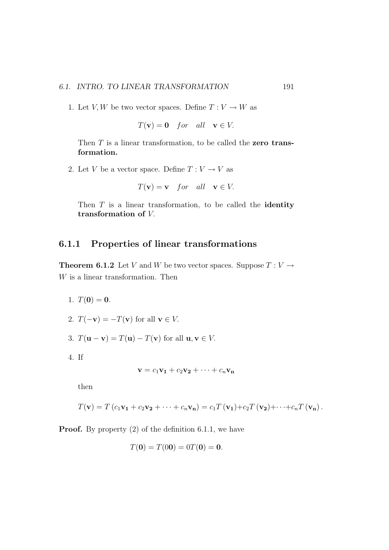1. Let V, W be two vector spaces. Define  $T: V \to W$  as

$$
T(\mathbf{v}) = \mathbf{0} \quad \text{for} \quad \text{all} \quad \mathbf{v} \in V.
$$

Then  $T$  is a linear transformation, to be called the zero transformation.

2. Let V be a vector space. Define  $T: V \to V$  as

$$
T(\mathbf{v}) = \mathbf{v} \quad \text{for} \quad \text{all} \quad \mathbf{v} \in V.
$$

Then  $T$  is a linear transformation, to be called the **identity** transformation of V.

### 6.1.1 Properties of linear transformations

**Theorem 6.1.2** Let V and W be two vector spaces. Suppose  $T: V \rightarrow$ W is a linear transformation. Then

- 1.  $T(0) = 0$ .
- 2.  $T(-\mathbf{v}) = -T(\mathbf{v})$  for all  $\mathbf{v} \in V$ .
- 3.  $T(\mathbf{u} \mathbf{v}) = T(\mathbf{u}) T(\mathbf{v})$  for all  $\mathbf{u}, \mathbf{v} \in V$ .
- 4. If

$$
\mathbf{v} = c_1 \mathbf{v_1} + c_2 \mathbf{v_2} + \cdots + c_n \mathbf{v_n}
$$

then

$$
T(\mathbf{v}) = T (c_1 \mathbf{v_1} + c_2 \mathbf{v_2} + \cdots + c_n \mathbf{v_n}) = c_1 T (\mathbf{v_1}) + c_2 T (\mathbf{v_2}) + \cdots + c_n T (\mathbf{v_n}).
$$

**Proof.** By property (2) of the definition 6.1.1, we have

$$
T(0) = T(00) = 0T(0) = 0.
$$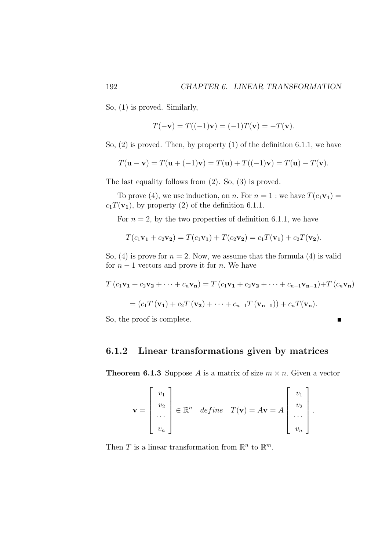So, (1) is proved. Similarly,

$$
T(-\mathbf{v}) = T((-1)\mathbf{v}) = (-1)T(\mathbf{v}) = -T(\mathbf{v}).
$$

So, (2) is proved. Then, by property (1) of the definition 6.1.1, we have

$$
T(\mathbf{u} - \mathbf{v}) = T(\mathbf{u} + (-1)\mathbf{v}) = T(\mathbf{u}) + T((-1)\mathbf{v}) = T(\mathbf{u}) - T(\mathbf{v}).
$$

The last equality follows from (2). So, (3) is proved.

To prove (4), we use induction, on n. For  $n = 1$ : we have  $T(c_1\mathbf{v}_1) =$  $c_1T(\mathbf{v}_1)$ , by property (2) of the definition 6.1.1.

For  $n = 2$ , by the two properties of definition 6.1.1, we have

$$
T(c_1\mathbf{v_1} + c_2\mathbf{v_2}) = T(c_1\mathbf{v_1}) + T(c_2\mathbf{v_2}) = c_1T(\mathbf{v_1}) + c_2T(\mathbf{v_2}).
$$

So, (4) is prove for  $n = 2$ . Now, we assume that the formula (4) is valid for  $n-1$  vectors and prove it for n. We have

$$
T(c_1\mathbf{v_1} + c_2\mathbf{v_2} + \dots + c_n\mathbf{v_n}) = T(c_1\mathbf{v_1} + c_2\mathbf{v_2} + \dots + c_{n-1}\mathbf{v_{n-1}}) + T(c_n\mathbf{v_n})
$$

$$
= (c_1T(\mathbf{v_1}) + c_2T(\mathbf{v_2}) + \dots + c_{n-1}T(\mathbf{v_{n-1}})) + c_nT(\mathbf{v_n}).
$$

 $\blacksquare$ 

So, the proof is complete.

### 6.1.2 Linear transformations given by matrices

**Theorem 6.1.3** Suppose A is a matrix of size  $m \times n$ . Given a vector

$$
\mathbf{v} = \begin{bmatrix} v_1 \\ v_2 \\ \cdots \\ v_n \end{bmatrix} \in \mathbb{R}^n \quad define \quad T(\mathbf{v}) = A\mathbf{v} = A \begin{bmatrix} v_1 \\ v_2 \\ \cdots \\ v_n \end{bmatrix}.
$$

Then T is a linear transformation from  $\mathbb{R}^n$  to  $\mathbb{R}^m$ .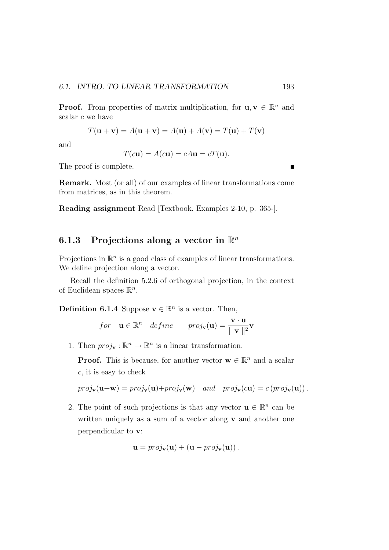**Proof.** From properties of matrix multiplication, for  $\mathbf{u}, \mathbf{v} \in \mathbb{R}^n$  and scalar c we have

$$
T(\mathbf{u} + \mathbf{v}) = A(\mathbf{u} + \mathbf{v}) = A(\mathbf{u}) + A(\mathbf{v}) = T(\mathbf{u}) + T(\mathbf{v})
$$

and

$$
T(c\mathbf{u}) = A(c\mathbf{u}) = cA\mathbf{u} = cT(\mathbf{u}).
$$

The proof is complete.

Remark. Most (or all) of our examples of linear transformations come from matrices, as in this theorem.

Reading assignment Read [Textbook, Examples 2-10, p. 365-].

## 6.1.3 Projections along a vector in  $\mathbb{R}^n$

Projections in  $\mathbb{R}^n$  is a good class of examples of linear transformations. We define projection along a vector.

Recall the definition 5.2.6 of orthogonal projection, in the context of Euclidean spaces  $\mathbb{R}^n$ .

**Definition 6.1.4** Suppose  $\mathbf{v} \in \mathbb{R}^n$  is a vector. Then,

*for* 
$$
\mathbf{u} \in \mathbb{R}^n
$$
 *define*  $proj_{\mathbf{v}}(\mathbf{u}) = \frac{\mathbf{v} \cdot \mathbf{u}}{\Vert \mathbf{v} \Vert^2} \mathbf{v}$ 

1. Then  $proj_{\mathbf{v}} : \mathbb{R}^n \to \mathbb{R}^n$  is a linear transformation.

**Proof.** This is because, for another vector  $\mathbf{w} \in \mathbb{R}^n$  and a scalar c, it is easy to check

 $proj_{\mathbf{v}}(\mathbf{u}+\mathbf{w}) = proj_{\mathbf{v}}(\mathbf{u})+proj_{\mathbf{v}}(\mathbf{w})$  and  $proj_{\mathbf{v}}(c\mathbf{u}) = c (proj_{\mathbf{v}}(\mathbf{u}))$ .

2. The point of such projections is that any vector  $\mathbf{u} \in \mathbb{R}^n$  can be written uniquely as a sum of a vector along  $\bf{v}$  and another one perpendicular to v:

$$
\mathbf{u} = proj_{\mathbf{v}}(\mathbf{u}) + (\mathbf{u} - proj_{\mathbf{v}}(\mathbf{u})).
$$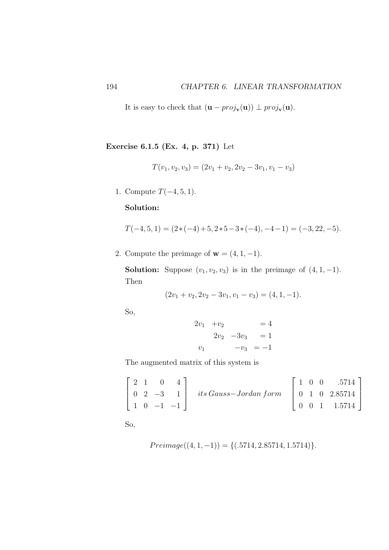It is easy to check that  $(\mathbf{u} - proj_{\mathbf{v}}(\mathbf{u})) \perp proj_{\mathbf{v}}(\mathbf{u})$ .

Exercise 6.1.5 (Ex. 4, p. 371) Let

$$
T(v_1, v_2, v_3) = (2v_1 + v_2, 2v_2 - 3v_1, v_1 - v_3)
$$

1. Compute  $T(-4, 5, 1)$ .

### Solution:

$$
T(-4,5,1) = (2*(-4)+5,2*5-3*(-4),-4-1) = (-3,22,-5).
$$

2. Compute the preimage of  $\mathbf{w} = (4, 1, -1)$ .

**Solution:** Suppose  $(v_1, v_2, v_3)$  is in the preimage of  $(4, 1, -1)$ . Then

$$
(2v1 + v2, 2v2 - 3v1, v1 - v3) = (4, 1, -1).
$$

So,

$$
2v_1 + v_2 = 4 \n2v_2 - 3v_3 = 1 \nv_1 -v_3 = -1
$$

The augmented matrix of this system is

$$
\begin{bmatrix} 2 & 1 & 0 & 4 \ 0 & 2 & -3 & 1 \ 1 & 0 & -1 & -1 \end{bmatrix} \text{ its Gauss–Jordan form} \begin{bmatrix} 1 & 0 & 0 & .5714 \ 0 & 1 & 0 & 2.85714 \ 0 & 0 & 1 & 1.5714 \end{bmatrix}
$$

So,

$$
Preimage((4, 1, -1)) = \{(.5714, 2.85714, 1.5714)\}.
$$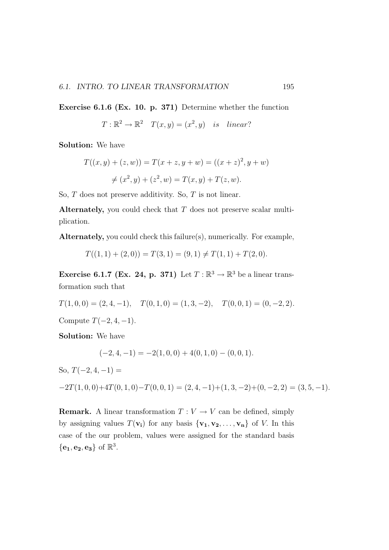Exercise 6.1.6 (Ex. 10. p. 371) Determine whether the function

 $T: \mathbb{R}^2 \to \mathbb{R}^2$   $T(x, y) = (x^2, y)$  is linear?

Solution: We have

$$
T((x, y) + (z, w)) = T(x + z, y + w) = ((x + z)2, y + w)
$$
  

$$
\neq (x2, y) + (z2, w) = T(x, y) + T(z, w).
$$

So, T does not preserve additivity. So, T is not linear.

Alternately, you could check that T does not preserve scalar multiplication.

Alternately, you could check this failure(s), numerically. For example,

$$
T((1,1) + (2,0)) = T(3,1) = (9,1) \neq T(1,1) + T(2,0).
$$

Exercise 6.1.7 (Ex. 24, p. 371) Let  $T : \mathbb{R}^3 \to \mathbb{R}^3$  be a linear transformation such that

 $T(1, 0, 0) = (2, 4, -1), \quad T(0, 1, 0) = (1, 3, -2), \quad T(0, 0, 1) = (0, -2, 2).$ 

Compute  $T(-2, 4, -1)$ .

Solution: We have

$$
(-2, 4, -1) = -2(1, 0, 0) + 4(0, 1, 0) - (0, 0, 1).
$$

So,  $T(-2, 4, -1) =$ 

 $-2T(1, 0, 0)+4T(0, 1, 0)-T(0, 0, 1) = (2, 4, -1)+(1, 3, -2)+(0, -2, 2) = (3, 5, -1).$ 

**Remark.** A linear transformation  $T: V \to V$  can be defined, simply by assigning values  $T(\mathbf{v_i})$  for any basis  $\{\mathbf{v_1}, \mathbf{v_2}, \dots, \mathbf{v_n}\}$  of V. In this case of the our problem, values were assigned for the standard basis  $\{\mathbf e_1,\mathbf e_2,\mathbf e_3\}$  of  $\mathbb R^3$ .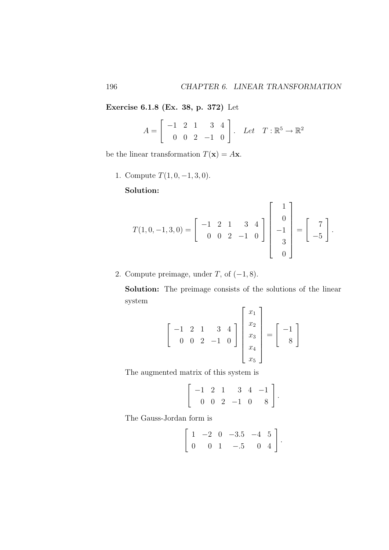Exercise 6.1.8 (Ex. 38, p. 372) Let

$$
A = \left[ \begin{array}{rrr} -1 & 2 & 1 & 3 & 4 \\ 0 & 0 & 2 & -1 & 0 \end{array} \right]. \quad Let \quad T: \mathbb{R}^5 \to \mathbb{R}^2
$$

be the linear transformation  $T(\mathbf{x}) = A\mathbf{x}$ .

1. Compute  $T(1, 0, -1, 3, 0)$ .

Solution:

$$
T(1,0,-1,3,0) = \begin{bmatrix} -1 & 2 & 1 & 3 & 4 \\ 0 & 0 & 2 & -1 & 0 \end{bmatrix} \begin{bmatrix} 1 \\ 0 \\ -1 \\ 3 \\ 0 \end{bmatrix} = \begin{bmatrix} 7 \\ -5 \end{bmatrix}.
$$

2. Compute preimage, under  $T$ , of  $(-1, 8)$ .

Solution: The preimage consists of the solutions of the linear system

$$
\begin{bmatrix} -1 & 2 & 1 & 3 & 4 \ 0 & 0 & 2 & -1 & 0 \ \end{bmatrix} \begin{bmatrix} x_1 \ x_2 \ x_3 \ x_4 \ x_5 \end{bmatrix} = \begin{bmatrix} -1 \ 8 \end{bmatrix}
$$

The augmented matrix of this system is

$$
\left[\begin{array}{rrrrr} -1 & 2 & 1 & 3 & 4 & -1 \\ 0 & 0 & 2 & -1 & 0 & 8 \end{array}\right].
$$

The Gauss-Jordan form is

$$
\left[\begin{array}{cccccc} 1 & -2 & 0 & -3.5 & -4 & 5 \\ 0 & 0 & 1 & -5 & 0 & 4 \end{array}\right].
$$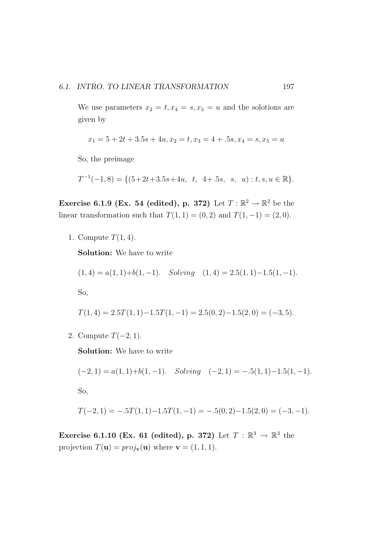We use parameters  $x_2 = t, x_4 = s, x_5 = u$  and the solotions are given by

$$
x_1 = 5 + 2t + 3.5s + 4u, x_2 = t, x_3 = 4 + .5s, x_4 = s, x_5 = u
$$

So, the preimage

 $T^{-1}(-1,8) = \{(5+2t+3.5s+4u, t, 4+.5s, s, u): t, s, u \in \mathbb{R}\}.$ 

Exercise 6.1.9 (Ex. 54 (edited), p. 372) Let  $T : \mathbb{R}^2 \to \mathbb{R}^2$  be the linear transformation such that  $T(1, 1) = (0, 2)$  and  $T(1, -1) = (2, 0)$ .

1. Compute  $T(1, 4)$ .

Solution: We have to write

$$
(1,4) = a(1,1)+b(1,-1). \quad Solving \quad (1,4) = 2.5(1,1)-1.5(1,-1).
$$

So,

$$
T(1,4) = 2.5T(1,1) - 1.5T(1,-1) = 2.5(0,2) - 1.5(2,0) = (-3,5).
$$

2. Compute  $T(-2, 1)$ .

Solution: We have to write

$$
(-2, 1) = a(1, 1) + b(1, -1).
$$
 Solving  $(-2, 1) = -.5(1, 1) - 1.5(1, -1).$ 

So,

$$
T(-2, 1) = -.5T(1, 1) - 1.5T(1, -1) = -.5(0, 2) - 1.5(2, 0) = (-3, -1).
$$

Exercise 6.1.10 (Ex. 61 (edited), p. 372) Let  $T : \mathbb{R}^3 \to \mathbb{R}^3$  the projection  $T(\mathbf{u}) = proj_{\mathbf{v}}(\mathbf{u})$  where  $\mathbf{v} = (1, 1, 1)$ .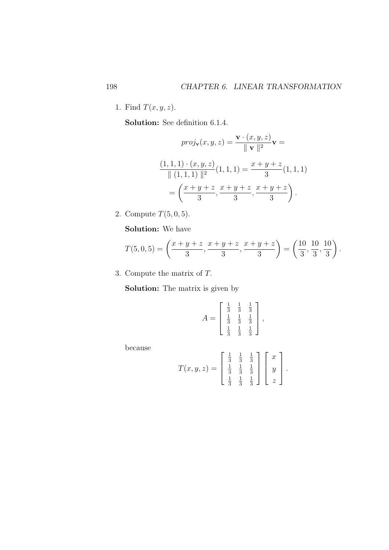1. Find  $T(x, y, z)$ .

Solution: See definition 6.1.4.

$$
proj_{\mathbf{v}}(x, y, z) = \frac{\mathbf{v} \cdot (x, y, z)}{\|\mathbf{v}\|^2} \mathbf{v} =
$$

$$
\frac{(1, 1, 1) \cdot (x, y, z)}{\|\ (1, 1, 1) \|^2} (1, 1, 1) = \frac{x + y + z}{3} (1, 1, 1)
$$

$$
= \left(\frac{x + y + z}{3}, \frac{x + y + z}{3}, \frac{x + y + z}{3}\right).
$$

2. Compute  $T(5, 0, 5)$ .

Solution: We have

$$
T(5,0,5) = \left(\frac{x+y+z}{3}, \frac{x+y+z}{3}, \frac{x+y+z}{3}\right) = \left(\frac{10}{3}, \frac{10}{3}, \frac{10}{3}\right).
$$

3. Compute the matrix of T.

Solution: The matrix is given by

$$
A = \begin{bmatrix} \frac{1}{3} & \frac{1}{3} & \frac{1}{3} \\ \frac{1}{3} & \frac{1}{3} & \frac{1}{3} \\ \frac{1}{3} & \frac{1}{3} & \frac{1}{3} \end{bmatrix},
$$

because

$$
T(x, y, z) = \begin{bmatrix} \frac{1}{3} & \frac{1}{3} & \frac{1}{3} \\ \frac{1}{3} & \frac{1}{3} & \frac{1}{3} \\ \frac{1}{3} & \frac{1}{3} & \frac{1}{3} \end{bmatrix} \begin{bmatrix} x \\ y \\ z \end{bmatrix}.
$$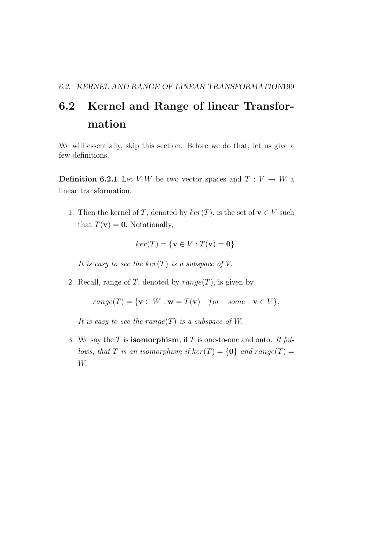## 6.2 Kernel and Range of linear Transformation

We will essentially, skip this section. Before we do that, let us give a few definitions.

**Definition 6.2.1** Let V, W be two vector spaces and  $T: V \to W$  a linear transformation.

1. Then the kernel of T, denoted by  $ker(T)$ , is the set of  $\mathbf{v} \in V$  such that  $T(\mathbf{v}) = \mathbf{0}$ . Notationally,

$$
ker(T) = \{ \mathbf{v} \in V : T(\mathbf{v}) = \mathbf{0} \}.
$$

It is easy to see the  $ker(T)$  is a subspace of V.

2. Recall, range of T, denoted by  $range(T)$ , is given by

 $range(T) = \{ \mathbf{v} \in W : \mathbf{w} = T(\mathbf{v}) \text{ for some } \mathbf{v} \in V \}.$ 

It is easy to see the range(T) is a subspace of W.

3. We say the  $T$  is **isomorphism**, if  $T$  is one-to-one and onto. It follows, that T is an isomorphism if  $ker(T) = \{0\}$  and  $range(T) =$ W.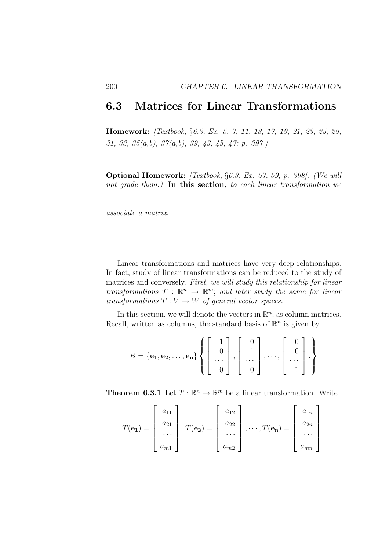### 6.3 Matrices for Linear Transformations

Homework: [Textbook, §6.3, Ex. 5, 7, 11, 13, 17, 19, 21, 23, 25, 29, 31, 33, 35(a,b), 37(a,b), 39, 43, 45, 47; p. 397 ]

Optional Homework: [Textbook, §6.3, Ex. 57, 59; p. 398]. (We will not grade them.) In this section, to each linear transformation we

associate a matrix.

Linear transformations and matrices have very deep relationships. In fact, study of linear transformations can be reduced to the study of matrices and conversely. First, we will study this relationship for linear transformations  $T : \mathbb{R}^n \to \mathbb{R}^m$ ; and later study the same for linear transformations  $T: V \to W$  of general vector spaces.

In this section, we will denote the vectors in  $\mathbb{R}^n$ , as column matrices. Recall, written as columns, the standard basis of  $\mathbb{R}^n$  is given by

$$
B = {\mathbf{e_1}, \mathbf{e_2}, \dots, \mathbf{e_n}}
$$
 
$$
\left\{ \begin{bmatrix} 1 \\ 0 \\ \dots \\ 0 \end{bmatrix}, \begin{bmatrix} 0 \\ 1 \\ \dots \\ 0 \end{bmatrix}, \dots, \begin{bmatrix} 0 \\ 0 \\ \dots \\ 1 \end{bmatrix} \right\}
$$

**Theorem 6.3.1** Let  $T : \mathbb{R}^n \to \mathbb{R}^m$  be a linear transformation. Write

$$
T(\mathbf{e_1}) = \begin{bmatrix} a_{11} \\ a_{21} \\ \cdots \\ a_{m1} \end{bmatrix}, T(\mathbf{e_2}) = \begin{bmatrix} a_{12} \\ a_{22} \\ \cdots \\ a_{m2} \end{bmatrix}, \cdots, T(\mathbf{e_n}) = \begin{bmatrix} a_{1n} \\ a_{2n} \\ \cdots \\ a_{mn} \end{bmatrix}.
$$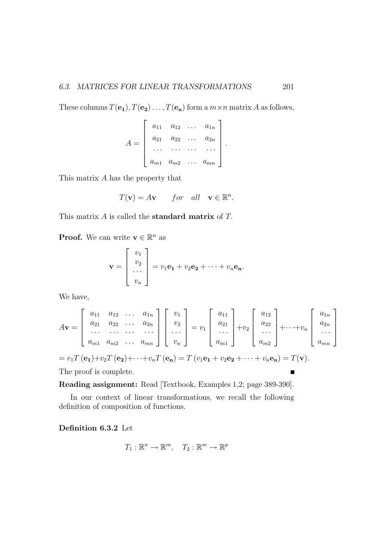These columns  $T(\mathbf{e_1}), T(\mathbf{e_2}), \dots, T(\mathbf{e_n})$  form a  $m \times n$  matrix A as follows,

$$
A = \begin{bmatrix} a_{11} & a_{12} & \cdots & a_{1n} \\ a_{21} & a_{22} & \cdots & a_{2n} \\ \cdots & \cdots & \cdots & \cdots \\ a_{m1} & a_{m2} & \cdots & a_{mn} \end{bmatrix}.
$$

This matrix A has the property that

$$
T(\mathbf{v}) = A\mathbf{v} \qquad for \quad all \quad \mathbf{v} \in \mathbb{R}^n.
$$

This matrix A is called the standard matrix of T.

**Proof.** We can write  $\mathbf{v} \in \mathbb{R}^n$  as

$$
\mathbf{v} = \begin{bmatrix} v_1 \\ v_2 \\ \dots \\ v_n \end{bmatrix} = v_1 \mathbf{e_1} + v_2 \mathbf{e_2} + \dots + v_n \mathbf{e_n}.
$$

We have,

$$
A\mathbf{v} = \begin{bmatrix} a_{11} & a_{12} & \cdots & a_{1n} \\ a_{21} & a_{22} & \cdots & a_{2n} \\ \cdots & \cdots & \cdots & \cdots \\ a_{m1} & a_{m2} & \cdots & a_{mn} \end{bmatrix} \begin{bmatrix} v_1 \\ v_2 \\ \cdots \\ v_n \end{bmatrix} = v_1 \begin{bmatrix} a_{11} \\ a_{21} \\ \cdots \\ a_{m1} \end{bmatrix} + v_2 \begin{bmatrix} a_{12} \\ a_{22} \\ \cdots \\ a_{m2} \end{bmatrix} + \cdots + v_n \begin{bmatrix} a_{1n} \\ a_{2n} \\ \cdots \\ a_{mn} \end{bmatrix}
$$

$$
= v_1 T(\mathbf{e}_1) + v_2 T(\mathbf{e}_2) + \cdots + v_n T(\mathbf{e}_n) - T(v_1 \mathbf{e}_1 + v_2 \mathbf{e}_2 + \cdots + v_n \mathbf{e}_n) - T(\mathbf{v})
$$

$$
= v_1 T(\mathbf{e_1}) + v_2 T(\mathbf{e_2}) + \cdots + v_n T(\mathbf{e_n}) = T(v_1 \mathbf{e_1} + v_2 \mathbf{e_2} + \cdots + v_n \mathbf{e_n}) = T(\mathbf{v}).
$$

The proof is complete.

Reading assignment: Read [Textbook, Examples 1,2; page 389-390].

In our context of linear transformations, we recall the following definition of composition of functions.

Definition 6.3.2 Let

$$
T_1: \mathbb{R}^n \to \mathbb{R}^m, \quad T_2: \mathbb{R}^m \to \mathbb{R}^p
$$

 $\blacksquare$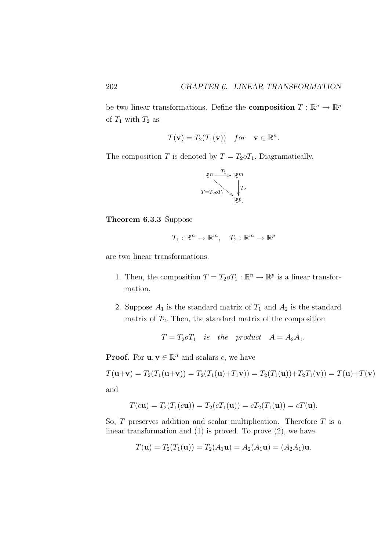be two linear transformations. Define the **composition**  $T : \mathbb{R}^n \to \mathbb{R}^p$ of  $T_1$  with  $T_2$  as

$$
T(\mathbf{v}) = T_2(T_1(\mathbf{v})) \quad for \quad \mathbf{v} \in \mathbb{R}^n.
$$

The composition T is denoted by  $T = T_2 \sigma T_1$ . Diagramatically,

$$
\mathbb{R}^n \xrightarrow{T_1} \mathbb{R}^m
$$
  

$$
T = T_2 \circ T_1 \searrow T_2
$$
  

$$
\mathbb{R}^p.
$$

Theorem 6.3.3 Suppose

$$
T_1: \mathbb{R}^n \to \mathbb{R}^m, \quad T_2: \mathbb{R}^m \to \mathbb{R}^p
$$

are two linear transformations.

- 1. Then, the composition  $T = T_2 o T_1 : \mathbb{R}^n \to \mathbb{R}^p$  is a linear transformation.
- 2. Suppose  $A_1$  is the standard matrix of  $T_1$  and  $A_2$  is the standard matrix of  $T_2$ . Then, the standard matrix of the composition

$$
T = T_2 o T_1
$$
 is the product  $A = A_2 A_1$ .

**Proof.** For  $\mathbf{u}, \mathbf{v} \in \mathbb{R}^n$  and scalars c, we have

$$
T(\mathbf{u}+\mathbf{v}) = T_2(T_1(\mathbf{u}+\mathbf{v})) = T_2(T_1(\mathbf{u})+T_1\mathbf{v})) = T_2(T_1(\mathbf{u})) + T_2T_1(\mathbf{v})) = T(\mathbf{u}) + T(\mathbf{v})
$$

and

$$
T(c\mathbf{u}) = T_2(T_1(c\mathbf{u})) = T_2(cT_1(\mathbf{u})) = cT_2(T_1(\mathbf{u})) = cT(\mathbf{u}).
$$

So,  $T$  preserves addition and scalar multiplication. Therefore  $T$  is a linear transformation and  $(1)$  is proved. To prove  $(2)$ , we have

$$
T(\mathbf{u}) = T_2(T_1(\mathbf{u})) = T_2(A_1\mathbf{u}) = A_2(A_1\mathbf{u}) = (A_2A_1)\mathbf{u}.
$$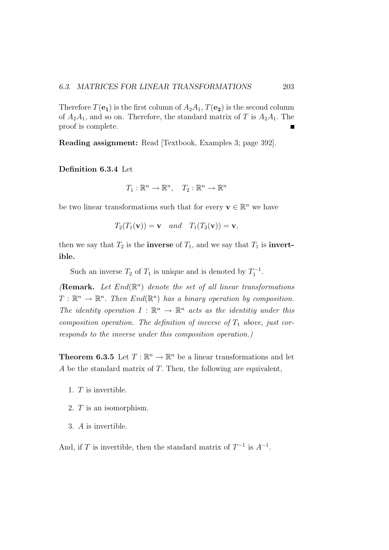Therefore  $T(\mathbf{e}_1)$  is the first column of  $A_2A_1$ ,  $T(\mathbf{e}_2)$  is the second column of  $A_2A_1$ , and so on. Therefore, the standard matrix of T is  $A_2A_1$ . The proof is complete.

Reading assignment: Read [Textbook, Examples 3; page 392].

Definition 6.3.4 Let

$$
T_1: \mathbb{R}^n \to \mathbb{R}^n, \quad T_2: \mathbb{R}^n \to \mathbb{R}^n
$$

be two linear transformations such that for every  $\mathbf{v} \in \mathbb{R}^n$  we have

$$
T_2(T_1(\mathbf{v})) = \mathbf{v} \quad and \quad T_1(T_2(\mathbf{v})) = \mathbf{v},
$$

then we say that  $T_2$  is the **inverse** of  $T_1$ , and we say that  $T_1$  is **invert**ible.

Such an inverse  $T_2$  of  $T_1$  is unique and is denoted by  $T_1^{-1}$ .

(Remark. Let  $End(\mathbb{R}^n)$  denote the set of all linear transformations  $T: \mathbb{R}^n \to \mathbb{R}^n$ . Then  $End(\mathbb{R}^n)$  has a binary operation by composition. The identity operation  $I : \mathbb{R}^n \to \mathbb{R}^n$  acts as the identitiy under this composition operation. The definition of inverse of  $T_1$  above, just corresponds to the inverse under this composition operation.)

**Theorem 6.3.5** Let  $T : \mathbb{R}^n \to \mathbb{R}^n$  be a linear transformations and let A be the standard matrix of T. Then, the following are equivalent,

- 1. T is invertible.
- 2. T is an isomorphism.
- 3. A is invertible.

And, if T is invertible, then the standard matrix of  $T^{-1}$  is  $A^{-1}$ .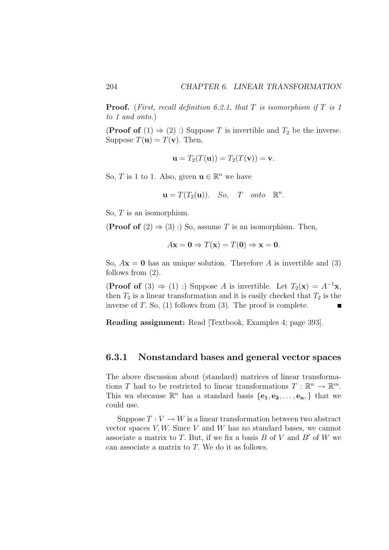**Proof.** (First, recall definition 6.2.1, that T is isomorphism if T is 1 to 1 and onto.)

**(Proof of** (1)  $\Rightarrow$  (2) :) Suppose T is invertible and  $T_2$  be the inverse. Suppose  $T(\mathbf{u}) = T(\mathbf{v})$ . Then,

$$
\mathbf{u} = T_2(T(\mathbf{u})) = T_2(T(\mathbf{v})) = \mathbf{v}.
$$

So, T is 1 to 1. Also, given  $\mathbf{u} \in \mathbb{R}^n$  we have

$$
\mathbf{u} = T(T_2(\mathbf{u})). \quad So, \quad T \quad onto \quad \mathbb{R}^n.
$$

So, T is an isomorphism.

(**Proof of**  $(2) \Rightarrow (3)$ :) So, assume T is an isomorphism. Then,

$$
A\mathbf{x} = \mathbf{0} \Rightarrow T(\mathbf{x}) = T(\mathbf{0}) \Rightarrow \mathbf{x} = \mathbf{0}.
$$

So,  $A$ **x** = 0 has an unique solution. Therefore A is invertible and (3) follows from (2).

(**Proof of** (3)  $\Rightarrow$  (1) :) Suppose A is invertible. Let  $T_2(\mathbf{x}) = A^{-1}\mathbf{x}$ , then  $T_2$  is a linear transformation and it is easily checked that  $T_2$  is the inverse of  $T$ . So,  $(1)$  follows from  $(3)$ . The proof is complete.

Reading assignment: Read [Textbook, Examples 4; page 393].

### 6.3.1 Nonstandard bases and general vector spaces

The above discussion about (standard) matrices of linear transformations T had to be restricted to linear transformations  $T : \mathbb{R}^n \to \mathbb{R}^m$ . This wa sbecause  $\mathbb{R}^n$  has a standard basis  $\{e_1, e_2, \ldots, e_n\}$  that we could use.

Suppose  $T: V \to W$  is a linear transformation between two abstract vector spaces  $V, W$ . Since  $V$  and  $W$  has no standard bases, we cannot associate a matrix to T. But, if we fix a basis  $B$  of  $V$  and  $B'$  of  $W$  we can associate a matrix to T. We do it as follows.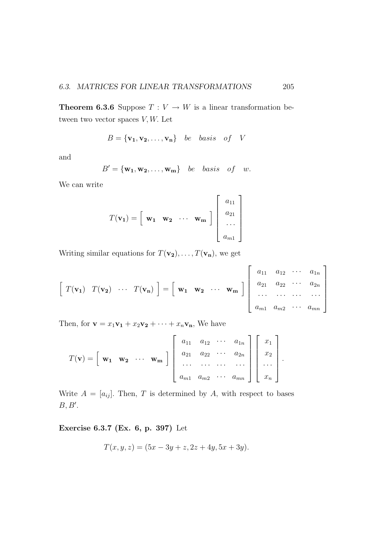**Theorem 6.3.6** Suppose  $T: V \to W$  is a linear transformation between two vector spaces  $V, W$ . Let

$$
B = {\mathbf{v}_1, \mathbf{v}_2, \dots, \mathbf{v}_n} \quad be \quad basis \quad of \quad V
$$

and

$$
B' = \{w_1, w_2, \dots, w_m\} \quad be \quad basis \quad of \quad w.
$$

We can write

$$
T(\mathbf{v_1}) = \begin{bmatrix} \mathbf{w_1} & \mathbf{w_2} & \cdots & \mathbf{w_m} \end{bmatrix} \begin{bmatrix} a_{11} \\ a_{21} \\ \cdots \\ a_{m1} \end{bmatrix}
$$

Writing similar equations for  $T(\mathbf{v_2}), \ldots, T(\mathbf{v_n})$ , we get

$$
\begin{bmatrix} T(\mathbf{v_1}) & T(\mathbf{v_2}) & \cdots & T(\mathbf{v_n}) \end{bmatrix} = \begin{bmatrix} \mathbf{w_1} & \mathbf{w_2} & \cdots & \mathbf{w_m} \end{bmatrix} \begin{bmatrix} a_{11} & a_{12} & \cdots & a_{1n} \\ a_{21} & a_{22} & \cdots & a_{2n} \\ \cdots & \cdots & \cdots & \cdots \\ a_{m1} & a_{m2} & \cdots & a_{mn} \end{bmatrix}
$$

Then, for  $\mathbf{v} = x_1 \mathbf{v_1} + x_2 \mathbf{v_2} + \cdots + x_n \mathbf{v_n}$ , We have

$$
T(\mathbf{v}) = \begin{bmatrix} \mathbf{w_1} & \mathbf{w_2} & \cdots & \mathbf{w_m} \end{bmatrix} \begin{bmatrix} a_{11} & a_{12} & \cdots & a_{1n} \\ a_{21} & a_{22} & \cdots & a_{2n} \\ \cdots & \cdots & \cdots & \cdots \\ a_{m1} & a_{m2} & \cdots & a_{mn} \end{bmatrix} \begin{bmatrix} x_1 \\ x_2 \\ \cdots \\ x_n \end{bmatrix}.
$$

Write  $A = [a_{ij}]$ . Then, T is determined by A, with respect to bases  $B,B'.$ 

#### Exercise 6.3.7 (Ex. 6, p. 397) Let

$$
T(x, y, z) = (5x - 3y + z, 2z + 4y, 5x + 3y).
$$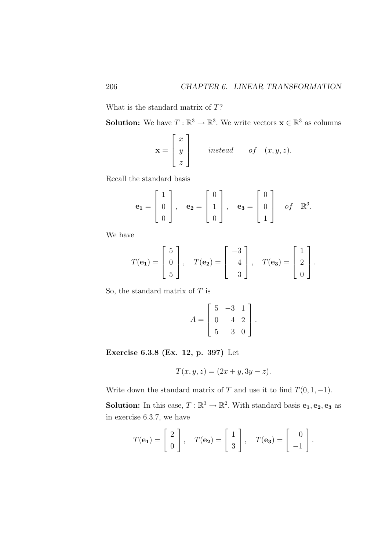What is the standard matrix of T?

**Solution:** We have  $T : \mathbb{R}^3 \to \mathbb{R}^3$ . We write vectors  $\mathbf{x} \in \mathbb{R}^3$  as columns

$$
\mathbf{x} = \begin{bmatrix} x \\ y \\ z \end{bmatrix} \quad \text{instead} \quad \text{of} \quad (x, y, z).
$$

Recall the standard basis

$$
\mathbf{e_1} = \begin{bmatrix} 1 \\ 0 \\ 0 \end{bmatrix}, \quad \mathbf{e_2} = \begin{bmatrix} 0 \\ 1 \\ 0 \end{bmatrix}, \quad \mathbf{e_3} = \begin{bmatrix} 0 \\ 0 \\ 1 \end{bmatrix} \quad \text{of} \quad \mathbb{R}^3.
$$

We have

$$
T(\mathbf{e_1}) = \begin{bmatrix} 5 \\ 0 \\ 5 \end{bmatrix}, \quad T(\mathbf{e_2}) = \begin{bmatrix} -3 \\ 4 \\ 3 \end{bmatrix}, \quad T(\mathbf{e_3}) = \begin{bmatrix} 1 \\ 2 \\ 0 \end{bmatrix}.
$$

So, the standard matrix of  $T$  is

$$
A = \begin{bmatrix} 5 & -3 & 1 \\ 0 & 4 & 2 \\ 5 & 3 & 0 \end{bmatrix}.
$$

Exercise 6.3.8 (Ex. 12, p. 397) Let

$$
T(x, y, z) = (2x + y, 3y - z).
$$

Write down the standard matrix of T and use it to find  $T(0, 1, -1)$ .

**Solution:** In this case,  $T : \mathbb{R}^3 \to \mathbb{R}^2$ . With standard basis  $e_1, e_2, e_3$  as in exercise 6.3.7, we have

$$
T(\mathbf{e_1}) = \begin{bmatrix} 2 \\ 0 \end{bmatrix}, \quad T(\mathbf{e_2}) = \begin{bmatrix} 1 \\ 3 \end{bmatrix}, \quad T(\mathbf{e_3}) = \begin{bmatrix} 0 \\ -1 \end{bmatrix}.
$$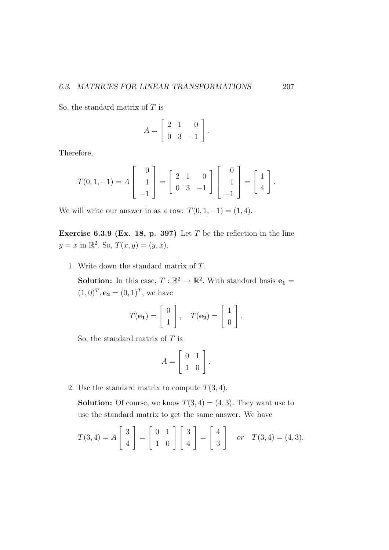So, the standard matrix of  $T$  is

$$
A = \left[ \begin{array}{rrr} 2 & 1 & 0 \\ 0 & 3 & -1 \end{array} \right].
$$

Therefore,

$$
T(0,1,-1) = A \begin{bmatrix} 0 \\ 1 \\ -1 \end{bmatrix} = \begin{bmatrix} 2 & 1 & 0 \\ 0 & 3 & -1 \end{bmatrix} \begin{bmatrix} 0 \\ 1 \\ -1 \end{bmatrix} = \begin{bmatrix} 1 \\ 4 \end{bmatrix}.
$$

We will write our answer in as a row:  $T(0, 1, -1) = (1, 4)$ .

Exercise 6.3.9 (Ex. 18, p. 397) Let  $T$  be the reflection in the line  $y = x$  in  $\mathbb{R}^2$ . So,  $T(x, y) = (y, x)$ .

1. Write down the standard matrix of T.

**Solution:** In this case,  $T : \mathbb{R}^2 \to \mathbb{R}^2$ . With standard basis  $\mathbf{e}_1 =$  $(1,0)^T$ ,  ${\bf e_2} = (0,1)^T$ , we have

$$
T(\mathbf{e_1}) = \begin{bmatrix} 0 \\ 1 \end{bmatrix}, \quad T(\mathbf{e_2}) = \begin{bmatrix} 1 \\ 0 \end{bmatrix}.
$$

So, the standard matrix of  $T$  is

$$
A = \left[ \begin{array}{cc} 0 & 1 \\ 1 & 0 \end{array} \right].
$$

2. Use the standard matrix to compute  $T(3, 4)$ .

**Solution:** Of course, we know  $T(3, 4) = (4, 3)$ . They want use to use the standard matrix to get the same answer. We have

$$
T(3,4) = A \begin{bmatrix} 3 \\ 4 \end{bmatrix} = \begin{bmatrix} 0 & 1 \\ 1 & 0 \end{bmatrix} \begin{bmatrix} 3 \\ 4 \end{bmatrix} = \begin{bmatrix} 4 \\ 3 \end{bmatrix} \quad or \quad T(3,4) = (4,3).
$$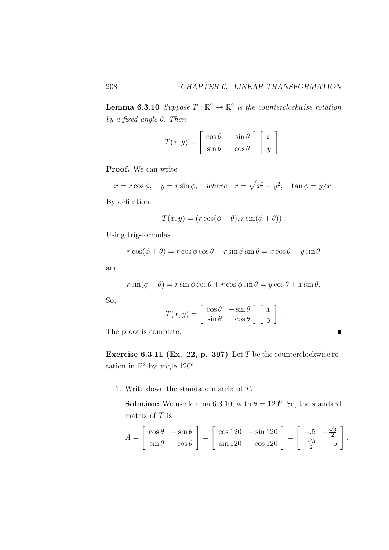**Lemma 6.3.10** Suppose  $T : \mathbb{R}^2 \to \mathbb{R}^2$  is the counterclockwise rotation by a fixed angle  $\theta$ . Then

$$
T(x,y) = \begin{bmatrix} \cos \theta & -\sin \theta \\ \sin \theta & \cos \theta \end{bmatrix} \begin{bmatrix} x \\ y \end{bmatrix}.
$$

Proof. We can write

$$
x = r \cos \phi
$$
,  $y = r \sin \phi$ , where  $r = \sqrt{x^2 + y^2}$ ,  $\tan \phi = y/x$ .

By definition

$$
T(x, y) = (r \cos(\phi + \theta), r \sin(\phi + \theta)).
$$

Using trig-formulas

$$
r\cos(\phi+\theta) = r\cos\phi\cos\theta - r\sin\phi\sin\theta = x\cos\theta - y\sin\theta
$$

and

$$
r\sin(\phi+\theta) = r\sin\phi\cos\theta + r\cos\phi\sin\theta = y\cos\theta + x\sin\theta.
$$

So,

$$
T(x,y) = \begin{bmatrix} \cos \theta & -\sin \theta \\ \sin \theta & \cos \theta \end{bmatrix} \begin{bmatrix} x \\ y \end{bmatrix}
$$

.

The proof is complete.

Exercise 6.3.11 (Ex. 22, p. 397) Let T be the counterclockwise rotation in  $\mathbb{R}^2$  by angle 120<sup>o</sup>.

1. Write down the standard matrix of T.

**Solution:** We use lemma 6.3.10, with  $\theta = 120^{\circ}$ . So, the standard matrix of  $T$  is

$$
A = \begin{bmatrix} \cos \theta & -\sin \theta \\ \sin \theta & \cos \theta \end{bmatrix} = \begin{bmatrix} \cos 120 & -\sin 120 \\ \sin 120 & \cos 120 \end{bmatrix} = \begin{bmatrix} -.5 & -\frac{\sqrt{3}}{2} \\ \frac{\sqrt{3}}{2} & -.5 \end{bmatrix}.
$$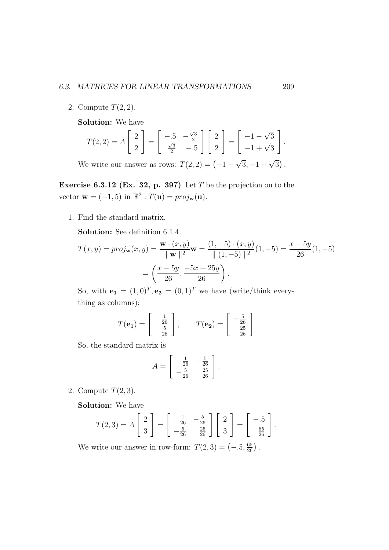2. Compute  $T(2, 2)$ .

Solution: We have

$$
T(2,2) = A\begin{bmatrix} 2\\2 \end{bmatrix} = \begin{bmatrix} -.5 & -\frac{\sqrt{3}}{2} \\ \frac{\sqrt{3}}{2} & -.5 \end{bmatrix} \begin{bmatrix} 2\\2 \end{bmatrix} = \begin{bmatrix} -1 - \sqrt{3} \\ -1 + \sqrt{3} \end{bmatrix}.
$$

We write our answer as rows:  $T(2, 2) = (-1 - \sqrt{3}, -1 + \sqrt{3}).$ 

Exercise 6.3.12 (Ex. 32, p. 397) Let  $T$  be the projection on to the vector  $\mathbf{w} = (-1, 5)$  in  $\mathbb{R}^2 : T(\mathbf{u}) = proj_{\mathbf{w}}(\mathbf{u})$ .

1. Find the standard matrix.

Solution: See definition 6.1.4.

$$
T(x,y) = proj_{\mathbf{w}}(x,y) = \frac{\mathbf{w} \cdot (x,y)}{\|\mathbf{w}\|^2} \mathbf{w} = \frac{(1, -5) \cdot (x,y)}{\|(1, -5)\|^2} (1, -5) = \frac{x - 5y}{26} (1, -5)
$$

$$
= \left(\frac{x - 5y}{26}, \frac{-5x + 25y}{26}\right).
$$

So, with  $\mathbf{e_1} = (1,0)^T$ ,  $\mathbf{e_2} = (0,1)^T$  we have (write/think everything as columns):

$$
T(\mathbf{e_1}) = \begin{bmatrix} \frac{1}{26} \\ -\frac{5}{26} \end{bmatrix}, \qquad T(\mathbf{e_2}) = \begin{bmatrix} -\frac{5}{26} \\ \frac{25}{26} \end{bmatrix}
$$

So, the standard matrix is

$$
A = \begin{bmatrix} \frac{1}{26} & -\frac{5}{26} \\ -\frac{5}{26} & \frac{25}{26} \end{bmatrix}.
$$

2. Compute  $T(2,3)$ .

Solution: We have

$$
T(2,3) = A\begin{bmatrix} 2\\3 \end{bmatrix} = \begin{bmatrix} \frac{1}{26} & -\frac{5}{26} \\ -\frac{5}{26} & \frac{25}{26} \end{bmatrix} \begin{bmatrix} 2\\3 \end{bmatrix} = \begin{bmatrix} -.5\\ \frac{65}{26} \end{bmatrix}.
$$

We write our answer in row-form:  $T(2,3) = \left(-.5, \frac{65}{26}\right)$ .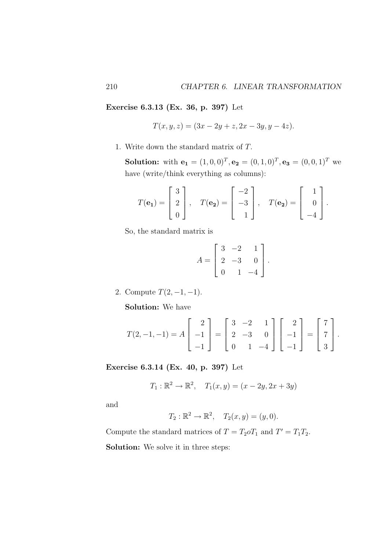Exercise 6.3.13 (Ex. 36, p. 397) Let

$$
T(x, y, z) = (3x - 2y + z, 2x - 3y, y - 4z).
$$

1. Write down the standard matrix of T.

**Solution:** with  $\mathbf{e}_1 = (1, 0, 0)^T$ ,  $\mathbf{e}_2 = (0, 1, 0)^T$ ,  $\mathbf{e}_3 = (0, 0, 1)^T$  we have (write/think everything as columns):

$$
T(\mathbf{e_1}) = \begin{bmatrix} 3 \\ 2 \\ 0 \end{bmatrix}, \quad T(\mathbf{e_2}) = \begin{bmatrix} -2 \\ -3 \\ 1 \end{bmatrix}, \quad T(\mathbf{e_2}) = \begin{bmatrix} 1 \\ 0 \\ -4 \end{bmatrix}.
$$

So, the standard matrix is

$$
A = \begin{bmatrix} 3 & -2 & 1 \\ 2 & -3 & 0 \\ 0 & 1 & -4 \end{bmatrix}.
$$

2. Compute  $T(2, -1, -1)$ . Solution: We have

$$
T(2,-1,-1) = A \begin{bmatrix} 2 \\ -1 \\ -1 \end{bmatrix} = \begin{bmatrix} 3 & -2 & 1 \\ 2 & -3 & 0 \\ 0 & 1 & -4 \end{bmatrix} \begin{bmatrix} 2 \\ -1 \\ -1 \end{bmatrix} = \begin{bmatrix} 7 \\ 7 \\ 3 \end{bmatrix}.
$$

Exercise 6.3.14 (Ex. 40, p. 397) Let

$$
T_1 : \mathbb{R}^2 \to \mathbb{R}^2
$$
,  $T_1(x, y) = (x - 2y, 2x + 3y)$ 

and

$$
T_2: \mathbb{R}^2 \to \mathbb{R}^2, \quad T_2(x, y) = (y, 0).
$$

Compute the standard matrices of  $T = T_2 \sigma T_1$  and  $T' = T_1 T_2$ . Solution: We solve it in three steps: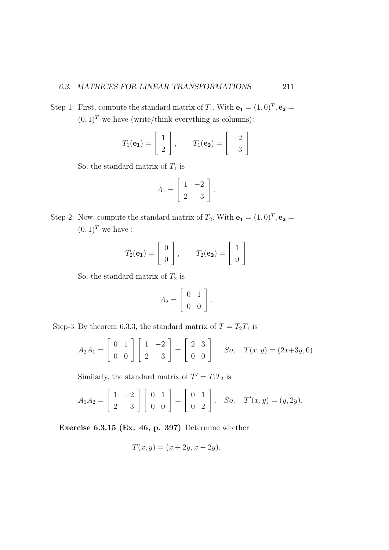Step-1: First, compute the standard matrix of  $T_1$ . With  $\mathbf{e}_1 = (1,0)^T$ ,  $\mathbf{e}_2 =$  $(0, 1)^T$  we have (write/think everything as columns):

$$
T_1(\mathbf{e_1}) = \begin{bmatrix} 1 \\ 2 \end{bmatrix}, \qquad T_1(\mathbf{e_2}) = \begin{bmatrix} -2 \\ 3 \end{bmatrix}
$$

So, the standard matrix of  $T_1$  is

$$
A_1 = \left[ \begin{array}{cc} 1 & -2 \\ 2 & 3 \end{array} \right].
$$

Step-2: Now, compute the standard matrix of  $T_2$ . With  $\mathbf{e}_1 = (1,0)^T$ ,  $\mathbf{e}_2 =$  $(0, 1)^T$  we have :

$$
T_2(\mathbf{e_1}) = \begin{bmatrix} 0 \\ 0 \end{bmatrix}, \qquad T_2(\mathbf{e_2}) = \begin{bmatrix} 1 \\ 0 \end{bmatrix}
$$

So, the standard matrix of  $T_2$  is

$$
A_2 = \left[ \begin{array}{cc} 0 & 1 \\ 0 & 0 \end{array} \right].
$$

Step-3 By theorem 6.3.3, the standard matrix of  $T = T_2T_1$  is

$$
A_2 A_1 = \begin{bmatrix} 0 & 1 \\ 0 & 0 \end{bmatrix} \begin{bmatrix} 1 & -2 \\ 2 & 3 \end{bmatrix} = \begin{bmatrix} 2 & 3 \\ 0 & 0 \end{bmatrix}. \quad So, \quad T(x, y) = (2x + 3y, 0).
$$

Similarly, the standard matrix of  $T' = T_1 T_2$  is

$$
A_1 A_2 = \begin{bmatrix} 1 & -2 \\ 2 & 3 \end{bmatrix} \begin{bmatrix} 0 & 1 \\ 0 & 0 \end{bmatrix} = \begin{bmatrix} 0 & 1 \\ 0 & 2 \end{bmatrix}. \quad So, \quad T'(x, y) = (y, 2y).
$$

Exercise 6.3.15 (Ex. 46, p. 397) Determine whether

$$
T(x,y) = (x+2y, x-2y).
$$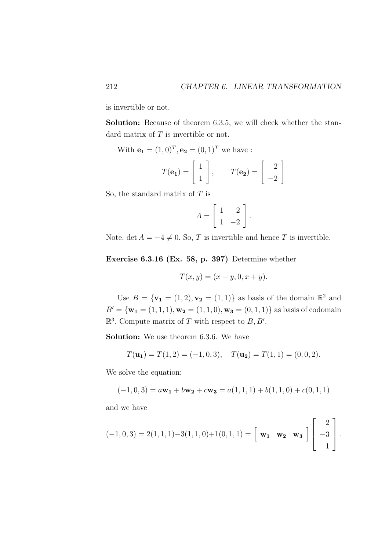is invertible or not.

Solution: Because of theorem 6.3.5, we will check whether the standard matrix of  $T$  is invertible or not.

With  ${\bf e}_1 = (1,0)^T, {\bf e}_2 = (0,1)^T$  we have :

$$
T(\mathbf{e_1}) = \begin{bmatrix} 1 \\ 1 \end{bmatrix}, \qquad T(\mathbf{e_2}) = \begin{bmatrix} 2 \\ -2 \end{bmatrix}
$$

So, the standard matrix of  $T$  is

$$
A = \left[ \begin{array}{cc} 1 & 2 \\ 1 & -2 \end{array} \right].
$$

Note, det  $A = -4 \neq 0$ . So, T is invertible and hence T is invertible.

Exercise 6.3.16 (Ex. 58, p. 397) Determine whether

$$
T(x,y) = (x - y, 0, x + y).
$$

Use  $B = {\mathbf{v_1} = (1, 2), \mathbf{v_2} = (1, 1)}$  as basis of the domain  $\mathbb{R}^2$  and  $B' = {\mathbf{w_1}} = (1, 1, 1), \mathbf{w_2} = (1, 1, 0), \mathbf{w_3} = (0, 1, 1)$  as basis of codomain  $\mathbb{R}^3$ . Compute matrix of T with respect to B, B'.

Solution: We use theorem 6.3.6. We have

$$
T(\mathbf{u_1}) = T(1,2) = (-1,0,3), \quad T(\mathbf{u_2}) = T(1,1) = (0,0,2).
$$

We solve the equation:

$$
(-1,0,3) = a\mathbf{w_1} + b\mathbf{w_2} + c\mathbf{w_3} = a(1,1,1) + b(1,1,0) + c(0,1,1)
$$

and we have

$$
(-1,0,3) = 2(1,1,1) - 3(1,1,0) + 1(0,1,1) = \begin{bmatrix} \mathbf{w_1} & \mathbf{w_2} & \mathbf{w_3} \end{bmatrix} \begin{bmatrix} 2 \\ -3 \\ 1 \end{bmatrix}.
$$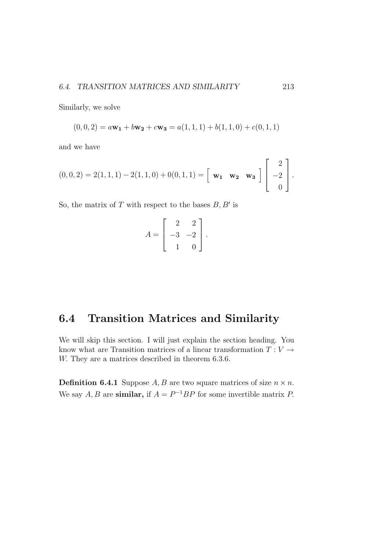Similarly, we solve

$$
(0,0,2) = a\mathbf{w_1} + b\mathbf{w_2} + c\mathbf{w_3} = a(1,1,1) + b(1,1,0) + c(0,1,1)
$$

and we have

$$
(0,0,2) = 2(1,1,1) - 2(1,1,0) + 0(0,1,1) = \begin{bmatrix} \mathbf{w_1} & \mathbf{w_2} & \mathbf{w_3} \end{bmatrix} \begin{bmatrix} 2 \\ -2 \\ 0 \end{bmatrix}.
$$

So, the matrix of T with respect to the bases  $B, B'$  is

$$
A = \begin{bmatrix} 2 & 2 \\ -3 & -2 \\ 1 & 0 \end{bmatrix}.
$$

## 6.4 Transition Matrices and Similarity

We will skip this section. I will just explain the section heading. You know what are Transition matrices of a linear transformation  $T: V \rightarrow$ W. They are a matrices described in theorem 6.3.6.

**Definition 6.4.1** Suppose A, B are two square matrices of size  $n \times n$ . We say  $A, B$  are **similar**, if  $A = P^{-1}BP$  for some invertible matrix P.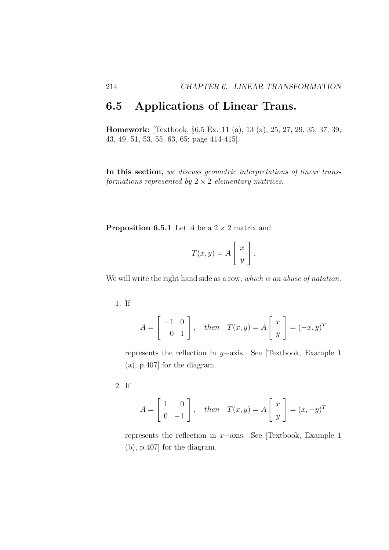## 6.5 Applications of Linear Trans.

Homework: [Textbook, §6.5 Ex. 11 (a), 13 (a), 25, 27, 29, 35, 37, 39, 43, 49, 51, 53, 55, 63, 65; page 414-415].

In this section, we discuss geometric interpretations of linear transformations represented by  $2 \times 2$  elementary matrices.

**Proposition 6.5.1** Let A be a  $2 \times 2$  matrix and

$$
T(x,y) = A \left[ \begin{array}{c} x \\ y \end{array} \right].
$$

We will write the right hand side as a row, which is an abuse of natation.

1. If

$$
A = \begin{bmatrix} -1 & 0 \\ 0 & 1 \end{bmatrix}, \quad then \quad T(x, y) = A \begin{bmatrix} x \\ y \end{bmatrix} = (-x, y)^T
$$

represents the reflection in y−axis. See [Textbook, Example 1 (a), p.407] for the diagram.

2. If

$$
A = \begin{bmatrix} 1 & 0 \\ 0 & -1 \end{bmatrix}, \quad then \quad T(x, y) = A \begin{bmatrix} x \\ y \end{bmatrix} = (x, -y)^T
$$

represents the reflection in x−axis. See [Textbook, Example 1 (b), p.407] for the diagram.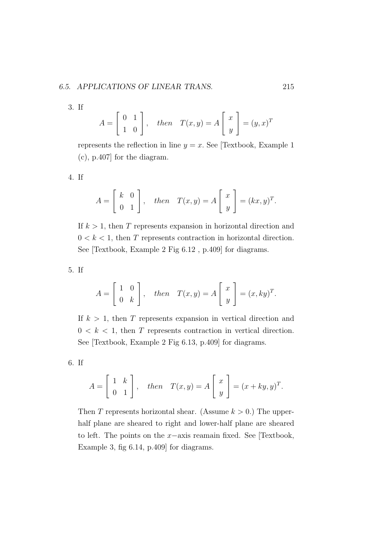3. If

$$
A = \begin{bmatrix} 0 & 1 \\ 1 & 0 \end{bmatrix}, \quad then \quad T(x, y) = A \begin{bmatrix} x \\ y \end{bmatrix} = (y, x)^T
$$

represents the reflection in line  $y = x$ . See [Textbook, Example 1] (c), p.407] for the diagram.

4. If

$$
A = \begin{bmatrix} k & 0 \\ 0 & 1 \end{bmatrix}, \quad then \quad T(x, y) = A \begin{bmatrix} x \\ y \end{bmatrix} = (kx, y)^T.
$$

If  $k > 1$ , then T represents expansion in horizontal direction and  $0 < k < 1$ , then T represents contraction in horizontal direction. See [Textbook, Example 2 Fig 6.12 , p.409] for diagrams.

5. If

$$
A = \begin{bmatrix} 1 & 0 \\ 0 & k \end{bmatrix}, \quad \text{then} \quad T(x, y) = A \begin{bmatrix} x \\ y \end{bmatrix} = (x, ky)^T.
$$

If  $k > 1$ , then T represents expansion in vertical direction and  $0 < k < 1$ , then T represents contraction in vertical direction. See [Textbook, Example 2 Fig 6.13, p.409] for diagrams.

6. If

$$
A = \begin{bmatrix} 1 & k \\ 0 & 1 \end{bmatrix}, \quad then \quad T(x, y) = A \begin{bmatrix} x \\ y \end{bmatrix} = (x + ky, y)^T.
$$

Then T represents horizontal shear. (Assume  $k > 0$ .) The upperhalf plane are sheared to right and lower-half plane are sheared to left. The points on the x−axis reamain fixed. See [Textbook, Example 3, fig 6.14, p.409] for diagrams.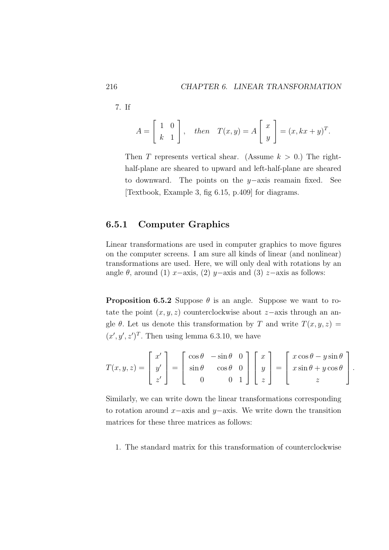7. If

$$
A = \begin{bmatrix} 1 & 0 \\ k & 1 \end{bmatrix}, \quad then \quad T(x, y) = A \begin{bmatrix} x \\ y \end{bmatrix} = (x, kx + y)^T.
$$

Then T represents vertical shear. (Assume  $k > 0$ .) The righthalf-plane are sheared to upward and left-half-plane are sheared to downward. The points on the y−axis reamain fixed. See [Textbook, Example 3, fig 6.15, p.409] for diagrams.

### 6.5.1 Computer Graphics

Linear transformations are used in computer graphics to move figures on the computer screens. I am sure all kinds of linear (and nonlinear) transformations are used. Here, we will only deal with rotations by an angle  $\theta$ , around (1) x–axis, (2) y–axis and (3) z–axis as follows:

**Proposition 6.5.2** Suppose  $\theta$  is an angle. Suppose we want to rotate the point  $(x, y, z)$  counterclockwise about  $z$ -axis through an angle  $\theta$ . Let us denote this transformation by T and write  $T(x, y, z) =$  $(x', y', z')^T$ . Then using lemma 6.3.10, we have

$$
T(x,y,z) = \begin{bmatrix} x' \\ y' \\ z' \end{bmatrix} = \begin{bmatrix} \cos \theta & -\sin \theta & 0 \\ \sin \theta & \cos \theta & 0 \\ 0 & 0 & 1 \end{bmatrix} \begin{bmatrix} x \\ y \\ z \end{bmatrix} = \begin{bmatrix} x \cos \theta - y \sin \theta \\ x \sin \theta + y \cos \theta \\ z \end{bmatrix}.
$$

Similarly, we can write down the linear transformations corresponding to rotation around x–axis and  $y$ –axis. We write down the transition matrices for these three matrices as follows:

1. The standard matrix for this transformation of counterclockwise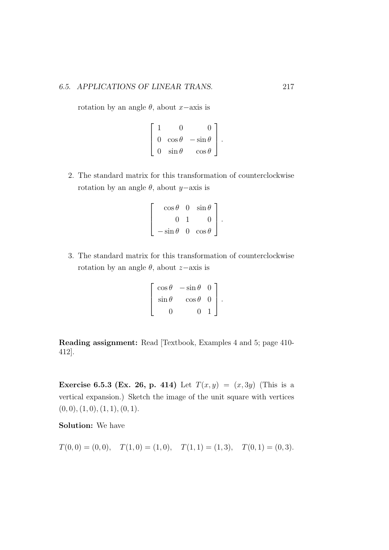rotation by an angle  $\theta$ , about x−axis is

$$
\left[\begin{array}{ccc} 1 & 0 & 0 \\ 0 & \cos \theta & -\sin \theta \\ 0 & \sin \theta & \cos \theta \end{array}\right].
$$

2. The standard matrix for this transformation of counterclockwise rotation by an angle  $\theta$ , about y−axis is

$$
\left[\begin{array}{rr}\n\cos\theta & 0 & \sin\theta \\
0 & 1 & 0 \\
-\sin\theta & 0 & \cos\theta\n\end{array}\right].
$$

3. The standard matrix for this transformation of counterclockwise rotation by an angle  $\theta$ , about z−axis is

$$
\left[\begin{array}{ccc} \cos\theta & -\sin\theta & 0 \\ \sin\theta & \cos\theta & 0 \\ 0 & 0 & 1 \end{array}\right].
$$

Reading assignment: Read [Textbook, Examples 4 and 5; page 410- 412].

**Exercise 6.5.3 (Ex. 26, p. 414)** Let  $T(x, y) = (x, 3y)$  (This is a vertical expansion.) Sketch the image of the unit square with vertices  $(0, 0), (1, 0), (1, 1), (0, 1).$ 

Solution: We have

$$
T(0,0) = (0,0), \quad T(1,0) = (1,0), \quad T(1,1) = (1,3), \quad T(0,1) = (0,3).
$$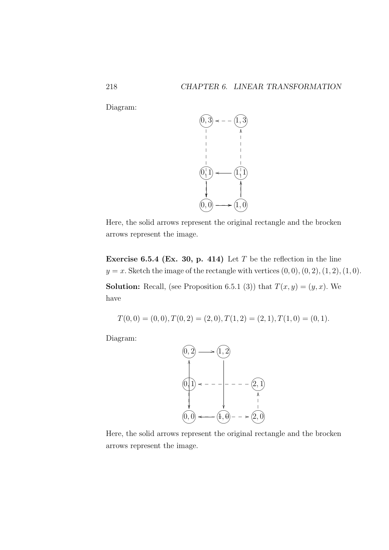Diagram:



Here, the solid arrows represent the original rectangle and the brocken arrows represent the image.

Exercise 6.5.4 (Ex. 30, p. 414) Let  $T$  be the reflection in the line  $y = x$ . Sketch the image of the rectangle with vertices  $(0, 0), (0, 2), (1, 2), (1, 0)$ .

**Solution:** Recall, (see Proposition 6.5.1 (3)) that  $T(x, y) = (y, x)$ . We have

$$
T(0,0) = (0,0), T(0,2) = (2,0), T(1,2) = (2,1), T(1,0) = (0,1).
$$

Diagram:



Here, the solid arrows represent the original rectangle and the brocken arrows represent the image.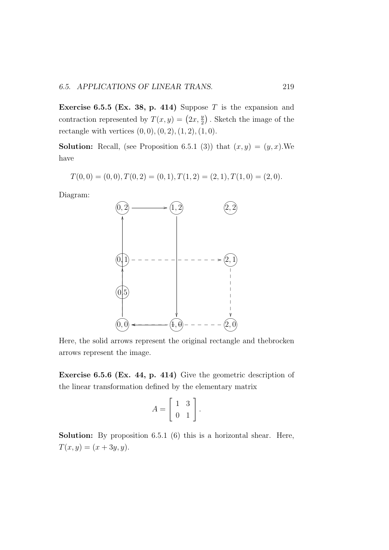**Exercise 6.5.5 (Ex. 38, p. 414)** Suppose T is the expansion and contraction represented by  $T(x, y) = (2x, \frac{y}{2})$ . Sketch the image of the rectangle with vertices  $(0, 0), (0, 2), (1, 2), (1, 0).$ 

**Solution:** Recall, (see Proposition 6.5.1 (3)) that  $(x, y) = (y, x)$ . We have

 $T(0, 0) = (0, 0), T(0, 2) = (0, 1), T(1, 2) = (2, 1), T(1, 0) = (2, 0).$ 

Diagram:



Here, the solid arrows represent the original rectangle and thebrocken arrows represent the image.

Exercise 6.5.6 (Ex. 44, p. 414) Give the geometric description of the linear transformation defined by the elementary matrix

$$
A = \left[ \begin{array}{cc} 1 & 3 \\ 0 & 1 \end{array} \right]
$$

.

Solution: By proposition 6.5.1 (6) this is a horizontal shear. Here,  $T(x, y) = (x + 3y, y).$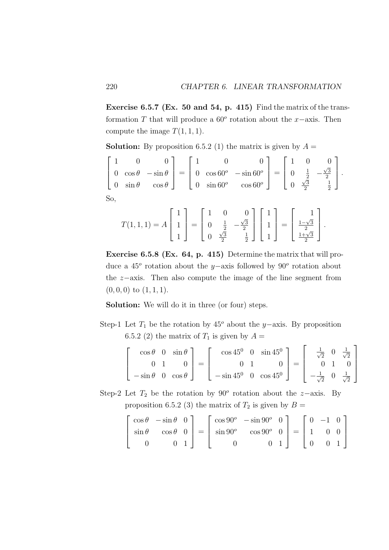Exercise 6.5.7 (Ex. 50 and 54, p. 415) Find the matrix of the transformation T that will produce a  $60^{\circ}$  rotation about the x-axis. Then compute the image  $T(1, 1, 1)$ .

**Solution:** By proposition 6.5.2 (1) the matrix is given by  $A =$ 

$$
\begin{bmatrix} 1 & 0 & 0 \ 0 & \cos \theta & -\sin \theta \\ 0 & \sin \theta & \cos \theta \end{bmatrix} = \begin{bmatrix} 1 & 0 & 0 \ 0 & \cos 60^{\circ} & -\sin 60^{\circ} \\ 0 & \sin 60^{\circ} & \cos 60^{\circ} \end{bmatrix} = \begin{bmatrix} 1 & 0 & 0 \ 0 & \frac{1}{2} & -\frac{\sqrt{3}}{2} \\ 0 & \frac{\sqrt{3}}{2} & \frac{1}{2} \end{bmatrix}.
$$
  
So,

$$
T(1,1,1) = A \begin{bmatrix} 1 \\ 1 \\ 1 \end{bmatrix} = \begin{bmatrix} 1 & 0 & 0 \\ 0 & \frac{1}{2} & -\frac{\sqrt{3}}{2} \\ 0 & \frac{\sqrt{3}}{2} & \frac{1}{2} \end{bmatrix} \begin{bmatrix} 1 \\ 1 \\ 1 \end{bmatrix} = \begin{bmatrix} 1 \\ \frac{1-\sqrt{3}}{2} \\ \frac{1+\sqrt{3}}{2} \end{bmatrix}.
$$

Exercise 6.5.8 (Ex. 64, p. 415) Determine the matrix that will produce a 45<sup> $\degree$ </sup> rotation about the y–axis followed by 90 $\degree$  rotation about the z−axis. Then also compute the image of the line segment from  $(0, 0, 0)$  to  $(1, 1, 1)$ .

Solution: We will do it in three (or four) steps.

Step-1 Let  $T_1$  be the rotation by 45<sup>o</sup> about the y−axis. By proposition 6.5.2 (2) the matrix of  $T_1$  is given by  $A =$ 

$$
\begin{bmatrix} \cos \theta & 0 & \sin \theta \\ 0 & 1 & 0 \\ -\sin \theta & 0 & \cos \theta \end{bmatrix} = \begin{bmatrix} \cos 45^0 & 0 & \sin 45^0 \\ 0 & 1 & 0 \\ -\sin 45^0 & 0 & \cos 45^0 \end{bmatrix} = \begin{bmatrix} \frac{1}{\sqrt{2}} & 0 & \frac{1}{\sqrt{2}} \\ 0 & 1 & 0 \\ -\frac{1}{\sqrt{2}} & 0 & \frac{1}{\sqrt{2}} \end{bmatrix}
$$

Step-2 Let  $T_2$  be the rotation by 90<sup>°</sup> rotation about the z-axis. By proposition 6.5.2 (3) the matrix of  $T_2$  is given by  $B =$ 

$$
\begin{bmatrix}\n\cos \theta & -\sin \theta & 0 \\
\sin \theta & \cos \theta & 0 \\
0 & 0 & 1\n\end{bmatrix} = \begin{bmatrix}\n\cos 90^{\circ} & -\sin 90^{\circ} & 0 \\
\sin 90^{\circ} & \cos 90^{\circ} & 0 \\
0 & 0 & 1\n\end{bmatrix} = \begin{bmatrix}\n0 & -1 & 0 \\
1 & 0 & 0 \\
0 & 0 & 1\n\end{bmatrix}
$$